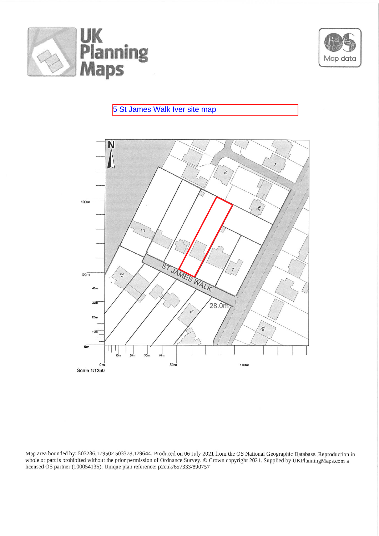



## 5 St James Walk Iver site map



Map area bounded by: 503236,179502 503378,179644. Produced on 06 July 2021 from the OS National Geographic Database. Reproduction in whole or part is prohibited without the prior permission of Ordnance Survey. © Crown copyright 2021. Supplied by UKPlanningMaps.com a licensed OS partner (100054135). Unique plan reference: p2cuk/657333/890757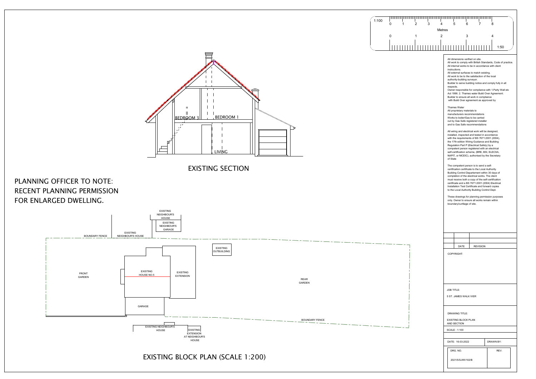

| 3<br>2<br>4   | 5<br>6<br>8<br>7                                                                                                                                                                                                                                                                                                                                                                                                                                                                                                                                                                                                                                                                                                                                                                                                                                                                                                                                                                                                                                                                                                                                                                                                                                                                                                                                                                                                                                                                                                                                                                                                                                                                                                                                                  |  |  |
|---------------|-------------------------------------------------------------------------------------------------------------------------------------------------------------------------------------------------------------------------------------------------------------------------------------------------------------------------------------------------------------------------------------------------------------------------------------------------------------------------------------------------------------------------------------------------------------------------------------------------------------------------------------------------------------------------------------------------------------------------------------------------------------------------------------------------------------------------------------------------------------------------------------------------------------------------------------------------------------------------------------------------------------------------------------------------------------------------------------------------------------------------------------------------------------------------------------------------------------------------------------------------------------------------------------------------------------------------------------------------------------------------------------------------------------------------------------------------------------------------------------------------------------------------------------------------------------------------------------------------------------------------------------------------------------------------------------------------------------------------------------------------------------------|--|--|
| <b>Metres</b> |                                                                                                                                                                                                                                                                                                                                                                                                                                                                                                                                                                                                                                                                                                                                                                                                                                                                                                                                                                                                                                                                                                                                                                                                                                                                                                                                                                                                                                                                                                                                                                                                                                                                                                                                                                   |  |  |
| 2<br>1        | 3<br>4                                                                                                                                                                                                                                                                                                                                                                                                                                                                                                                                                                                                                                                                                                                                                                                                                                                                                                                                                                                                                                                                                                                                                                                                                                                                                                                                                                                                                                                                                                                                                                                                                                                                                                                                                            |  |  |
|               | 1:50                                                                                                                                                                                                                                                                                                                                                                                                                                                                                                                                                                                                                                                                                                                                                                                                                                                                                                                                                                                                                                                                                                                                                                                                                                                                                                                                                                                                                                                                                                                                                                                                                                                                                                                                                              |  |  |
|               | All dimensions verified on site.<br>All work to comply with British Standards, Code of practice.<br>All internal works to be in accordance with client<br>instructions.<br>All external surfaces to match existing.<br>All work to be to the satisfaction of the local<br>authority-building surveyor.<br>Builder to serve building notice and comply fully in all<br>respects.<br>Owner responsible for compliance with 1. Party Wall etc<br>Act 1996. 2. Thames water Build Over Agreement.<br>Builder to ensure all work in compliance<br>with Build Over agreement as approved by<br>Thames Water<br>All proprietary materials to<br>manufacturers recommendations<br>Works to boiler/Gas to be carried<br>out by Gas Safe registered installer<br>and to Gas Safe recommendations<br>All wiring and electrical work will be designed,<br>installed, inspected and tested in accordance<br>with the requirements of BS 7671:2001 (2004),<br>the 17th edition Wiring Guidance and Building<br>Regulation Part P (Electrical Safety) by a<br>competent person registered with an electrical<br>self-certification scheme, (BRE, BSI, ELECSA,<br>NAPIT, or NICEIC), authorised by the Secretary<br>of State<br>The competent person is to send a self-<br>certification certificate to the Local Authority<br>Building Control Departement within 30 days of<br>completion of the electrical works. The client<br>must receive both a copy of the self-certification<br>certificate and a BS 7671:2001 (2004) Electrical<br>Installation Test Certificate and forward copies<br>to the Local Authority Building Control Dept.<br>These drawings for planning permission purposes<br>only. Owner to ensure all works remain within<br>boundary/curtilage of site. |  |  |
|               |                                                                                                                                                                                                                                                                                                                                                                                                                                                                                                                                                                                                                                                                                                                                                                                                                                                                                                                                                                                                                                                                                                                                                                                                                                                                                                                                                                                                                                                                                                                                                                                                                                                                                                                                                                   |  |  |
|               | DATE<br><b>REVISION</b>                                                                                                                                                                                                                                                                                                                                                                                                                                                                                                                                                                                                                                                                                                                                                                                                                                                                                                                                                                                                                                                                                                                                                                                                                                                                                                                                                                                                                                                                                                                                                                                                                                                                                                                                           |  |  |
|               | COPYRIGHT:                                                                                                                                                                                                                                                                                                                                                                                                                                                                                                                                                                                                                                                                                                                                                                                                                                                                                                                                                                                                                                                                                                                                                                                                                                                                                                                                                                                                                                                                                                                                                                                                                                                                                                                                                        |  |  |
|               | <b>JOB TITLE:</b><br>5 ST. JAMES WALK IVER                                                                                                                                                                                                                                                                                                                                                                                                                                                                                                                                                                                                                                                                                                                                                                                                                                                                                                                                                                                                                                                                                                                                                                                                                                                                                                                                                                                                                                                                                                                                                                                                                                                                                                                        |  |  |
|               | <b>DRAWING TITLE:</b><br><b>EXISTING BLOCK PLAN</b>                                                                                                                                                                                                                                                                                                                                                                                                                                                                                                                                                                                                                                                                                                                                                                                                                                                                                                                                                                                                                                                                                                                                                                                                                                                                                                                                                                                                                                                                                                                                                                                                                                                                                                               |  |  |
|               | AND SECTION<br>SCALE: 1:100                                                                                                                                                                                                                                                                                                                                                                                                                                                                                                                                                                                                                                                                                                                                                                                                                                                                                                                                                                                                                                                                                                                                                                                                                                                                                                                                                                                                                                                                                                                                                                                                                                                                                                                                       |  |  |
|               |                                                                                                                                                                                                                                                                                                                                                                                                                                                                                                                                                                                                                                                                                                                                                                                                                                                                                                                                                                                                                                                                                                                                                                                                                                                                                                                                                                                                                                                                                                                                                                                                                                                                                                                                                                   |  |  |
|               | DATE: 16-03-2022<br>DRAWN BY:                                                                                                                                                                                                                                                                                                                                                                                                                                                                                                                                                                                                                                                                                                                                                                                                                                                                                                                                                                                                                                                                                                                                                                                                                                                                                                                                                                                                                                                                                                                                                                                                                                                                                                                                     |  |  |
|               | REV.                                                                                                                                                                                                                                                                                                                                                                                                                                                                                                                                                                                                                                                                                                                                                                                                                                                                                                                                                                                                                                                                                                                                                                                                                                                                                                                                                                                                                                                                                                                                                                                                                                                                                                                                                              |  |  |
|               | DRG. NO.<br>2021/5/SJWI/102/B                                                                                                                                                                                                                                                                                                                                                                                                                                                                                                                                                                                                                                                                                                                                                                                                                                                                                                                                                                                                                                                                                                                                                                                                                                                                                                                                                                                                                                                                                                                                                                                                                                                                                                                                     |  |  |
|               |                                                                                                                                                                                                                                                                                                                                                                                                                                                                                                                                                                                                                                                                                                                                                                                                                                                                                                                                                                                                                                                                                                                                                                                                                                                                                                                                                                                                                                                                                                                                                                                                                                                                                                                                                                   |  |  |





EXISTING BLOCK PLAN (SCALE 1:200)



PLANNING OFFICER TO NOTE: RECENT PLANNING PERMISSION FOR ENLARGED DWELLING.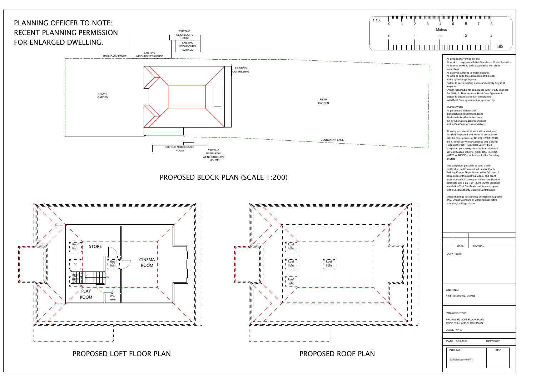| 2<br>3<br>5<br>6<br>8<br>0<br>1<br>4<br>7<br><b>Metres</b><br>2<br>3<br>0<br>1<br>4<br>1:50<br>All dimensions verified on site.                                                                                                                                                                                                                                                                                                                                                                                                                                                                                                                                                                                                                                                                                                                                                                                                                                                                                                                                                                                                                                                                                                                                                                                                                                                                                                                                                                                                                                                                                                                                                                                                                                        |  |  |
|------------------------------------------------------------------------------------------------------------------------------------------------------------------------------------------------------------------------------------------------------------------------------------------------------------------------------------------------------------------------------------------------------------------------------------------------------------------------------------------------------------------------------------------------------------------------------------------------------------------------------------------------------------------------------------------------------------------------------------------------------------------------------------------------------------------------------------------------------------------------------------------------------------------------------------------------------------------------------------------------------------------------------------------------------------------------------------------------------------------------------------------------------------------------------------------------------------------------------------------------------------------------------------------------------------------------------------------------------------------------------------------------------------------------------------------------------------------------------------------------------------------------------------------------------------------------------------------------------------------------------------------------------------------------------------------------------------------------------------------------------------------------|--|--|
|                                                                                                                                                                                                                                                                                                                                                                                                                                                                                                                                                                                                                                                                                                                                                                                                                                                                                                                                                                                                                                                                                                                                                                                                                                                                                                                                                                                                                                                                                                                                                                                                                                                                                                                                                                        |  |  |
|                                                                                                                                                                                                                                                                                                                                                                                                                                                                                                                                                                                                                                                                                                                                                                                                                                                                                                                                                                                                                                                                                                                                                                                                                                                                                                                                                                                                                                                                                                                                                                                                                                                                                                                                                                        |  |  |
| All work to comply with British Standards, Code of practice.<br>All internal works to be in accordance with client<br>instructions.<br>All external surfaces to match existing.<br>All work to be to the satisfaction of the local<br>authority-building surveyor.<br>Builder to serve building notice and comply fully in all<br>respects.<br>Owner responsible for compliance with 1. Party Wall etc<br>Act 1996. 2. Thames water Build Over Agreement.<br>Builder to ensure all work in compliance<br>with Build Over agreement as approved by<br>Thames Water<br>All proprietary materials to<br>manufacturers recommendations<br>Works to boiler/Gas to be carried<br>out by Gas Safe registered installer<br>and to Gas Safe recommendations<br>All wiring and electrical work will be designed,<br>installed, inspected and tested in accordance<br>with the requirements of BS 7671:2001 (2004),<br>the 17th edition Wiring Guidance and Building<br>Regulation Part P (Electrical Safety) by a<br>competent person registered with an electrical<br>self-certification scheme, (BRE, BSI, ELECSA,<br>NAPIT, or NICEIC), authorised by the Secretary<br>of State<br>The competent person is to send a self-<br>certification certificate to the Local Authority<br>Building Control Departement within 30 days of<br>completion of the electrical works. The client<br>must receive both a copy of the self-certification<br>certificate and a BS 7671:2001 (2004) Electrical<br>Installation Test Certificate and forward copies<br>to the Local Authority Building Control Dept.<br>These drawings for planning permission purposes<br>only. Owner to ensure all works remain within<br>boundary/curtilage of site.<br>DATE<br><b>REVISION</b><br>COPYRIGHT: |  |  |
| <b>JOB TITLE:</b><br>5 ST. JAMES WALK IVER<br><b>DRAWING TITLE:</b><br>PROPOSED LOFT FLOOR PLAN,                                                                                                                                                                                                                                                                                                                                                                                                                                                                                                                                                                                                                                                                                                                                                                                                                                                                                                                                                                                                                                                                                                                                                                                                                                                                                                                                                                                                                                                                                                                                                                                                                                                                       |  |  |
| ROOF PLAN AND BLOCK PLAN<br><b>SCALE: 1:100</b>                                                                                                                                                                                                                                                                                                                                                                                                                                                                                                                                                                                                                                                                                                                                                                                                                                                                                                                                                                                                                                                                                                                                                                                                                                                                                                                                                                                                                                                                                                                                                                                                                                                                                                                        |  |  |
|                                                                                                                                                                                                                                                                                                                                                                                                                                                                                                                                                                                                                                                                                                                                                                                                                                                                                                                                                                                                                                                                                                                                                                                                                                                                                                                                                                                                                                                                                                                                                                                                                                                                                                                                                                        |  |  |
| DATE: 16-03-2022<br>DRAWN BY:                                                                                                                                                                                                                                                                                                                                                                                                                                                                                                                                                                                                                                                                                                                                                                                                                                                                                                                                                                                                                                                                                                                                                                                                                                                                                                                                                                                                                                                                                                                                                                                                                                                                                                                                          |  |  |
| DRG. NO.<br>REV.<br>2021/5/SJWI/105/A1                                                                                                                                                                                                                                                                                                                                                                                                                                                                                                                                                                                                                                                                                                                                                                                                                                                                                                                                                                                                                                                                                                                                                                                                                                                                                                                                                                                                                                                                                                                                                                                                                                                                                                                                 |  |  |

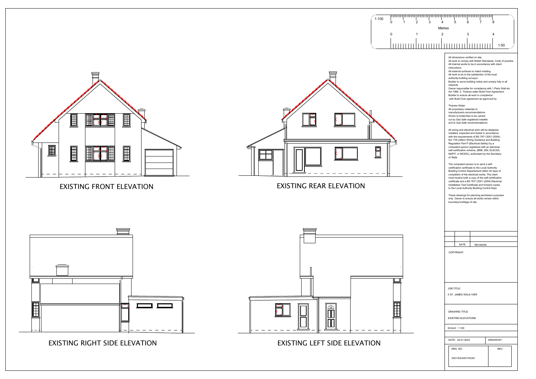| 3<br>2<br>4 | 5<br>6<br>7                                                                                                                                                                                                                                                                                                                                                                                                                                                                                                                                                                                                                                                                                                                                                                                                                                                                                                                                                                                                                                                                                                                                                                                                                                                                                                                                                                                                                                                                                                                                                                                                                                                                                                                                                      | 8         |  |
|-------------|------------------------------------------------------------------------------------------------------------------------------------------------------------------------------------------------------------------------------------------------------------------------------------------------------------------------------------------------------------------------------------------------------------------------------------------------------------------------------------------------------------------------------------------------------------------------------------------------------------------------------------------------------------------------------------------------------------------------------------------------------------------------------------------------------------------------------------------------------------------------------------------------------------------------------------------------------------------------------------------------------------------------------------------------------------------------------------------------------------------------------------------------------------------------------------------------------------------------------------------------------------------------------------------------------------------------------------------------------------------------------------------------------------------------------------------------------------------------------------------------------------------------------------------------------------------------------------------------------------------------------------------------------------------------------------------------------------------------------------------------------------------|-----------|--|
| Metres      |                                                                                                                                                                                                                                                                                                                                                                                                                                                                                                                                                                                                                                                                                                                                                                                                                                                                                                                                                                                                                                                                                                                                                                                                                                                                                                                                                                                                                                                                                                                                                                                                                                                                                                                                                                  |           |  |
| 2<br>1      | 3                                                                                                                                                                                                                                                                                                                                                                                                                                                                                                                                                                                                                                                                                                                                                                                                                                                                                                                                                                                                                                                                                                                                                                                                                                                                                                                                                                                                                                                                                                                                                                                                                                                                                                                                                                | 4         |  |
|             |                                                                                                                                                                                                                                                                                                                                                                                                                                                                                                                                                                                                                                                                                                                                                                                                                                                                                                                                                                                                                                                                                                                                                                                                                                                                                                                                                                                                                                                                                                                                                                                                                                                                                                                                                                  |           |  |
|             |                                                                                                                                                                                                                                                                                                                                                                                                                                                                                                                                                                                                                                                                                                                                                                                                                                                                                                                                                                                                                                                                                                                                                                                                                                                                                                                                                                                                                                                                                                                                                                                                                                                                                                                                                                  | 1:50      |  |
|             | All dimensions verified on site.<br>All work to comply with British Standards, Code of practice.<br>All internal works to be in accordance with client<br>instructions.<br>All external surfaces to match existing.<br>All work to be to the satisfaction of the local<br>authority-building surveyor.<br>Builder to serve building notice and comply fully in all<br>respects.<br>Owner responsible for compliance with 1.Party Wall etc<br>Act 1996. 2. Thames water Build Over Agreement.<br>Builder to ensure all work in compliance<br>with Build Over agreement as approved by<br>Thames Water<br>All proprietary materials to<br>manufacturers recommendations<br>Works to boiler/Gas to be carried<br>out by Gas Safe registered installer<br>and to Gas Safe recommendations<br>All wiring and electrical work will be designed,<br>installed, inspected and tested in accordance<br>with the requirements of BS 7671:2001 (2004),<br>the 17th edition Wiring Guidance and Building<br>Regulation Part P (Electrical Safety) by a<br>competent person registered with an electrical<br>self-certification scheme, (BRE, BSI, ELECSA,<br>NAPIT, or NICEIC), authorised by the Secretary<br>of State<br>The competent person is to send a self-<br>certification certificate to the Local Authority<br>Building Control Departement within 30 days of<br>completion of the electrical works. The client<br>must receive both a copy of the self-certification<br>certificate and a BS 7671:2001 (2004) Electrical<br>Installation Test Certificate and forward copies<br>to the Local Authority Building Control Dept.<br>These drawings for planning permission purposes<br>only. Owner to ensure all works remain within<br>boundary/curtilage of site. |           |  |
|             |                                                                                                                                                                                                                                                                                                                                                                                                                                                                                                                                                                                                                                                                                                                                                                                                                                                                                                                                                                                                                                                                                                                                                                                                                                                                                                                                                                                                                                                                                                                                                                                                                                                                                                                                                                  |           |  |
|             | DATE<br><b>REVISION</b>                                                                                                                                                                                                                                                                                                                                                                                                                                                                                                                                                                                                                                                                                                                                                                                                                                                                                                                                                                                                                                                                                                                                                                                                                                                                                                                                                                                                                                                                                                                                                                                                                                                                                                                                          |           |  |
|             | COPYRIGHT:                                                                                                                                                                                                                                                                                                                                                                                                                                                                                                                                                                                                                                                                                                                                                                                                                                                                                                                                                                                                                                                                                                                                                                                                                                                                                                                                                                                                                                                                                                                                                                                                                                                                                                                                                       |           |  |
|             | <b>JOB TITLE:</b><br>5 ST. JAMES WALK IVER<br><b>DRAWING TITLE:</b><br><b>EXISTING ELEVATIONS</b><br><b>SCALE: 1:100</b>                                                                                                                                                                                                                                                                                                                                                                                                                                                                                                                                                                                                                                                                                                                                                                                                                                                                                                                                                                                                                                                                                                                                                                                                                                                                                                                                                                                                                                                                                                                                                                                                                                         |           |  |
|             |                                                                                                                                                                                                                                                                                                                                                                                                                                                                                                                                                                                                                                                                                                                                                                                                                                                                                                                                                                                                                                                                                                                                                                                                                                                                                                                                                                                                                                                                                                                                                                                                                                                                                                                                                                  |           |  |
|             |                                                                                                                                                                                                                                                                                                                                                                                                                                                                                                                                                                                                                                                                                                                                                                                                                                                                                                                                                                                                                                                                                                                                                                                                                                                                                                                                                                                                                                                                                                                                                                                                                                                                                                                                                                  |           |  |
|             | DATE: 24-01-2022                                                                                                                                                                                                                                                                                                                                                                                                                                                                                                                                                                                                                                                                                                                                                                                                                                                                                                                                                                                                                                                                                                                                                                                                                                                                                                                                                                                                                                                                                                                                                                                                                                                                                                                                                 | DRAWN BY: |  |
|             | DRG. NO.<br>2021/5/SJWI/103/A2                                                                                                                                                                                                                                                                                                                                                                                                                                                                                                                                                                                                                                                                                                                                                                                                                                                                                                                                                                                                                                                                                                                                                                                                                                                                                                                                                                                                                                                                                                                                                                                                                                                                                                                                   | REV.      |  |
|             |                                                                                                                                                                                                                                                                                                                                                                                                                                                                                                                                                                                                                                                                                                                                                                                                                                                                                                                                                                                                                                                                                                                                                                                                                                                                                                                                                                                                                                                                                                                                                                                                                                                                                                                                                                  |           |  |





EXISTING FRONT ELEVATION **EXISTING REAR ELEVATION** 





EXISTING RIGHT SIDE ELEVATION EXISTING LEFT SIDE ELEVATION